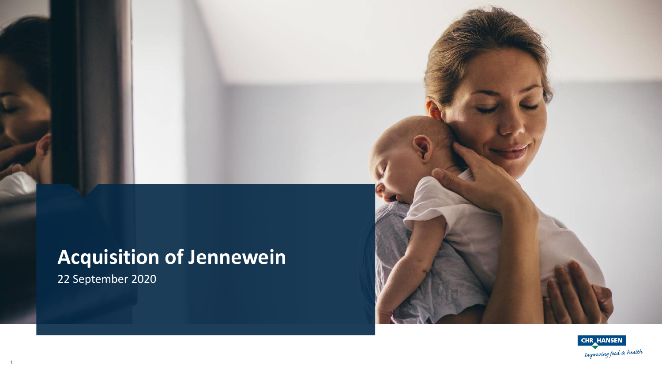# **Acquisition of Jennewein**

22 September 2020

1



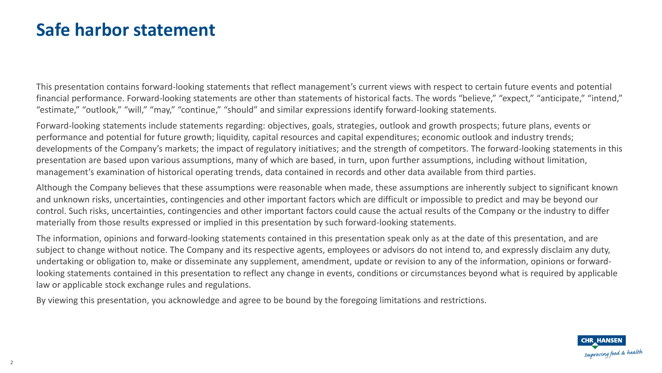#### **Safe harbor statement**

This presentation contains forward-looking statements that reflect management's current views with respect to certain future events and potential financial performance. Forward-looking statements are other than statements of historical facts. The words "believe," "expect," "anticipate," "intend," "estimate," "outlook," "will," "may," "continue," "should" and similar expressions identify forward-looking statements.

Forward-looking statements include statements regarding: objectives, goals, strategies, outlook and growth prospects; future plans, events or performance and potential for future growth; liquidity, capital resources and capital expenditures; economic outlook and industry trends; developments of the Company's markets; the impact of regulatory initiatives; and the strength of competitors. The forward-looking statements in this presentation are based upon various assumptions, many of which are based, in turn, upon further assumptions, including without limitation, management's examination of historical operating trends, data contained in records and other data available from third parties.

Although the Company believes that these assumptions were reasonable when made, these assumptions are inherently subject to significant known and unknown risks, uncertainties, contingencies and other important factors which are difficult or impossible to predict and may be beyond our control. Such risks, uncertainties, contingencies and other important factors could cause the actual results of the Company or the industry to differ materially from those results expressed or implied in this presentation by such forward-looking statements.

The information, opinions and forward-looking statements contained in this presentation speak only as at the date of this presentation, and are subject to change without notice. The Company and its respective agents, employees or advisors do not intend to, and expressly disclaim any duty, undertaking or obligation to, make or disseminate any supplement, amendment, update or revision to any of the information, opinions or forwardlooking statements contained in this presentation to reflect any change in events, conditions or circumstances beyond what is required by applicable law or applicable stock exchange rules and regulations.

By viewing this presentation, you acknowledge and agree to be bound by the foregoing limitations and restrictions.

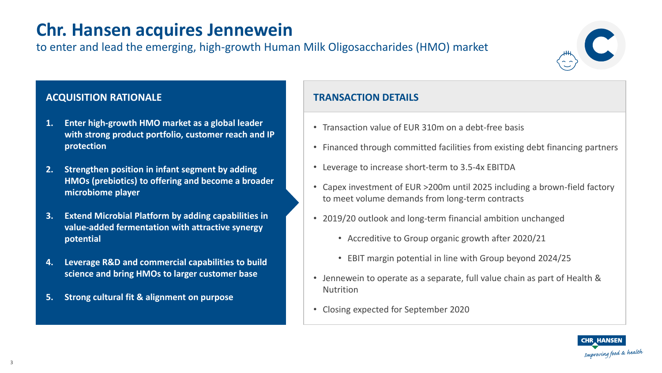### **Chr. Hansen acquires Jennewein**

to enter and lead the emerging, high-growth Human Milk Oligosaccharides (HMO) market

#### **ACQUISITION RATIONALE**

- **1. Enter high-growth HMO market as a global leader with strong product portfolio, customer reach and IP protection**
- **2. Strengthen position in infant segment by adding HMOs (prebiotics) to offering and become a broader microbiome player**
- **3. Extend Microbial Platform by adding capabilities in value-added fermentation with attractive synergy potential**
- **4. Leverage R&D and commercial capabilities to build science and bring HMOs to larger customer base**
- **5. Strong cultural fit & alignment on purpose**

#### **TRANSACTION DETAILS**

- Transaction value of EUR 310m on a debt-free basis
- Financed through committed facilities from existing debt financing partners
- Leverage to increase short-term to 3.5-4x EBITDA
- Capex investment of EUR >200m until 2025 including a brown-field factory to meet volume demands from long-term contracts
- 2019/20 outlook and long-term financial ambition unchanged
	- Accreditive to Group organic growth after 2020/21
	- EBIT margin potential in line with Group beyond 2024/25
- Jennewein to operate as a separate, full value chain as part of Health & Nutrition
- Closing expected for September 2020



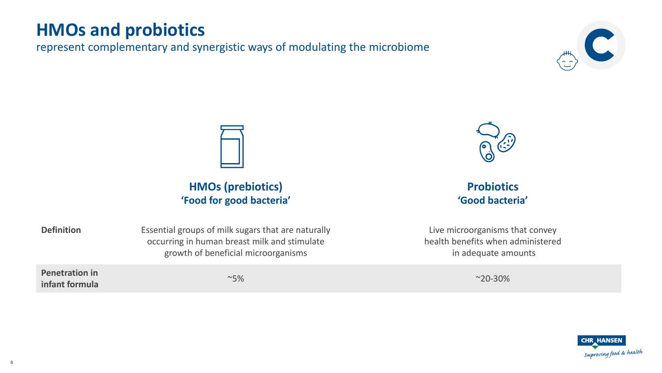#### **HMOs and probiotics**

represent complementary and synergistic ways of modulating the microbiome





**HMOs (prebiotics) 'Food for good bacteria'**



**Probiotics 'Good bacteria'**

Live microorganisms that convey health benefits when administered in adequate amounts



**Definition** Essential groups of milk sugars that are naturally occurring in human breast milk and stimulate growth of beneficial microorganisms

**Penetration in infant formula** ~5% ~20-30%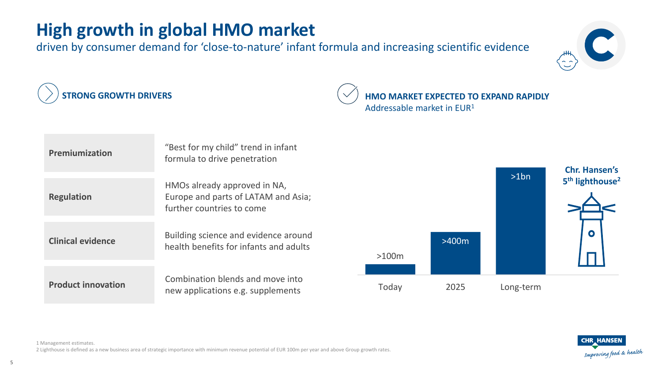## **High growth in global HMO market**

**Premiumization** "Best for my child" trend in infant

driven by consumer demand for 'close-to-nature' infant formula and increasing scientific evidence



**STRONG GROWTH DRIVERS HMO MARKET EXPECTED TO EXPAND RAPIDLY** Addressable market in EUR<sup>1</sup>





**Regulation**

1 Management estimates. 2 Lighthouse is defined as a new business area of strategic importance with minimum revenue potential of EUR 100m per year and above Group growth rates.

new applications e.g. supplements

formula to drive penetration

HMOs already approved in NA,

further countries to come

Europe and parts of LATAM and Asia;

health benefits for infants and adults

**Product innovation Combination blends and move into** 

**Clinical evidence** Building science and evidence around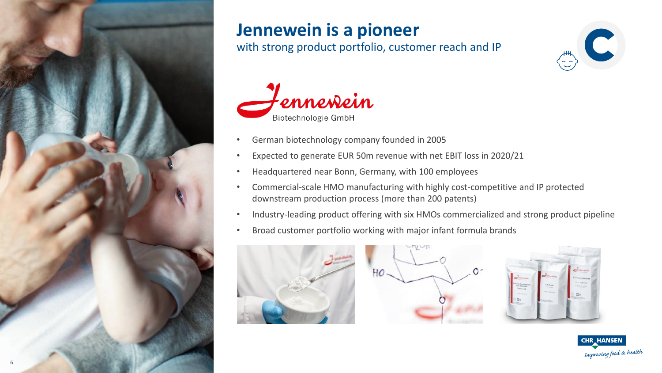

### **Jennewein is a pioneer**

with strong product portfolio, customer reach and IP





- German biotechnology company founded in 2005
- Expected to generate EUR 50m revenue with net EBIT loss in 2020/21
- Headquartered near Bonn, Germany, with 100 employees
- Commercial-scale HMO manufacturing with highly cost-competitive and IP protected downstream production process (more than 200 patents)
- Industry-leading product offering with six HMOs commercialized and strong product pipeline
- Broad customer portfolio working with major infant formula brands







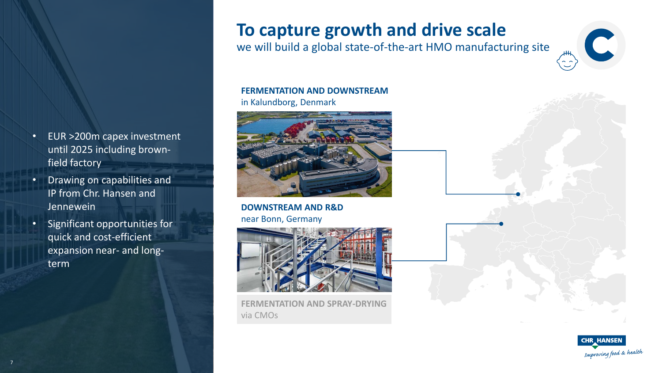- EUR >200m capex investment until 2025 including brownfield factory
- Drawing on capabilities and IP from Chr. Hansen and Jennewein
- Significant opportunities for quick and cost-efficient expansion near- and longterm

### **To capture growth and drive scale**

we will build a global state-of-the-art HMO manufacturing site



#### **FERMENTATION AND DOWNSTREAM**

in Kalundborg, Denmark



**DOWNSTREAM AND R&D** near Bonn, Germany



**FERMENTATION AND SPRAY-DRYING**  via CMOs



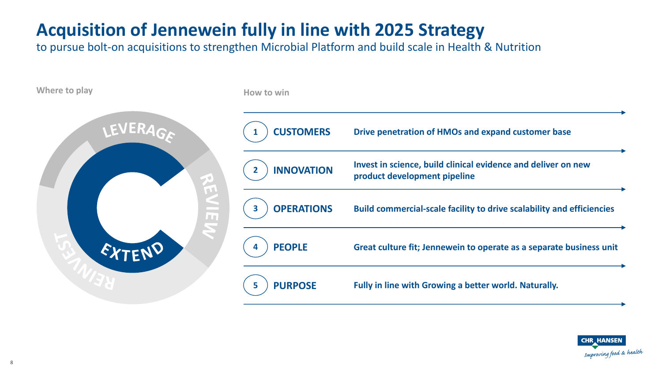# **Acquisition of Jennewein fully in line with 2025 Strategy**

to pursue bolt-on acquisitions to strengthen Microbial Platform and build scale in Health & Nutrition



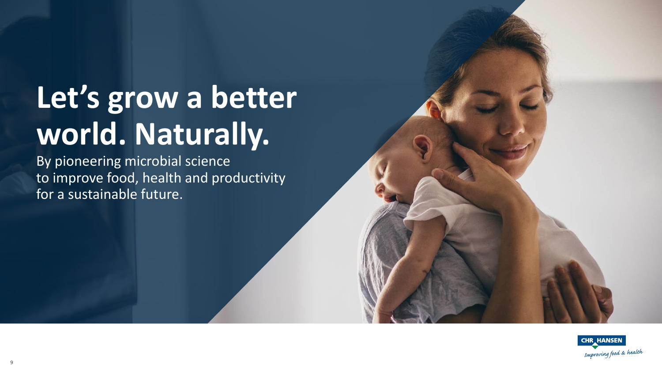# **Let's grow a better world. Naturally.**

By pioneering microbial science to improve food, health and productivity for a sustainable future.